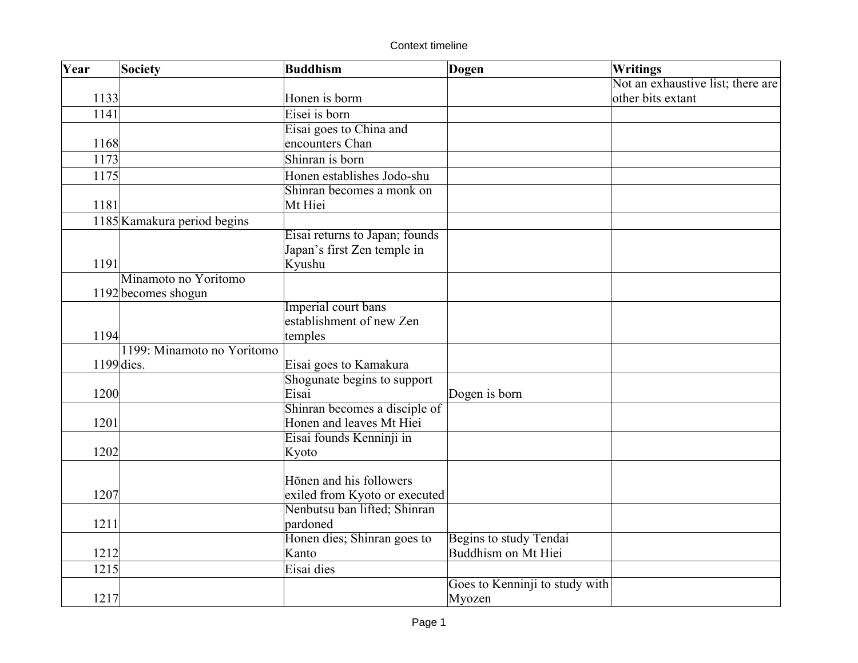Context timeline

| Year | Society                     | <b>Buddhism</b>                                           | Dogen                          | Writings                          |
|------|-----------------------------|-----------------------------------------------------------|--------------------------------|-----------------------------------|
|      |                             |                                                           |                                | Not an exhaustive list; there are |
| 1133 |                             | Honen is borm                                             |                                | other bits extant                 |
| 1141 |                             | Eisei is born                                             |                                |                                   |
|      |                             | Eisai goes to China and                                   |                                |                                   |
| 1168 |                             | encounters Chan                                           |                                |                                   |
| 1173 |                             | Shinran is born                                           |                                |                                   |
| 1175 |                             | Honen establishes Jodo-shu                                |                                |                                   |
|      |                             | Shinran becomes a monk on                                 |                                |                                   |
| 1181 |                             | Mt Hiei                                                   |                                |                                   |
|      | 1185 Kamakura period begins |                                                           |                                |                                   |
|      |                             | Eisai returns to Japan; founds                            |                                |                                   |
|      |                             | Japan's first Zen temple in                               |                                |                                   |
| 1191 |                             | Kyushu                                                    |                                |                                   |
|      | Minamoto no Yoritomo        |                                                           |                                |                                   |
|      | 1192 becomes shogun         |                                                           |                                |                                   |
|      |                             | Imperial court bans                                       |                                |                                   |
|      |                             | establishment of new Zen                                  |                                |                                   |
| 1194 |                             | temples                                                   |                                |                                   |
|      | 1199: Minamoto no Yoritomo  |                                                           |                                |                                   |
|      | $1199$ dies.                | Eisai goes to Kamakura                                    |                                |                                   |
|      |                             | Shogunate begins to support<br>Eisai                      |                                |                                   |
| 1200 |                             |                                                           | Dogen is born                  |                                   |
| 1201 |                             | Shinran becomes a disciple of<br>Honen and leaves Mt Hiei |                                |                                   |
|      |                             | Eisai founds Kenninji in                                  |                                |                                   |
| 1202 |                             | Kyoto                                                     |                                |                                   |
|      |                             |                                                           |                                |                                   |
|      |                             | Hōnen and his followers                                   |                                |                                   |
| 1207 |                             | exiled from Kyoto or executed                             |                                |                                   |
|      |                             | Nenbutsu ban lifted; Shinran                              |                                |                                   |
| 1211 |                             | pardoned                                                  |                                |                                   |
|      |                             | Honen dies; Shinran goes to                               | Begins to study Tendai         |                                   |
| 1212 |                             | Kanto                                                     | Buddhism on Mt Hiei            |                                   |
| 1215 |                             | Eisai dies                                                |                                |                                   |
|      |                             |                                                           | Goes to Kenninji to study with |                                   |
| 1217 |                             |                                                           | Myozen                         |                                   |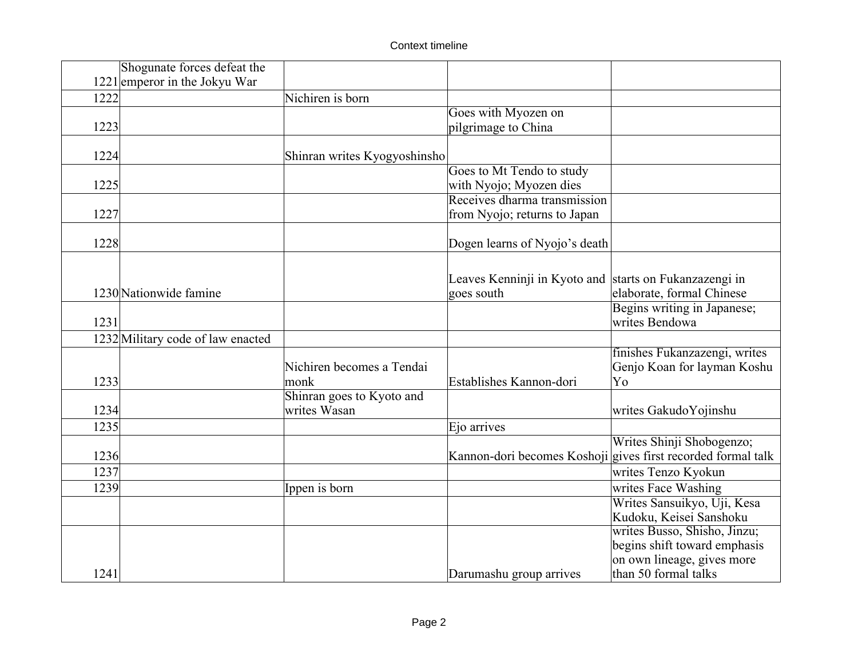|      | Shogunate forces defeat the       |                                           |                                                        |                                                              |
|------|-----------------------------------|-------------------------------------------|--------------------------------------------------------|--------------------------------------------------------------|
|      | $1221$ emperor in the Jokyu War   |                                           |                                                        |                                                              |
| 1222 |                                   | Nichiren is born                          |                                                        |                                                              |
|      |                                   |                                           | Goes with Myozen on                                    |                                                              |
| 1223 |                                   |                                           | pilgrimage to China                                    |                                                              |
| 1224 |                                   | Shinran writes Kyogyoshinsho              |                                                        |                                                              |
|      |                                   |                                           | Goes to Mt Tendo to study                              |                                                              |
| 1225 |                                   |                                           | with Nyojo; Myozen dies                                |                                                              |
|      |                                   |                                           | Receives dharma transmission                           |                                                              |
| 1227 |                                   |                                           | from Nyojo; returns to Japan                           |                                                              |
| 1228 |                                   |                                           | Dogen learns of Nyojo's death                          |                                                              |
|      |                                   |                                           |                                                        |                                                              |
|      |                                   |                                           |                                                        |                                                              |
|      | 1230 Nationwide famine            |                                           | Leaves Kenninji in Kyoto and starts on Fukanzazengi in |                                                              |
|      |                                   |                                           | goes south                                             | elaborate, formal Chinese                                    |
| 1231 |                                   |                                           |                                                        | Begins writing in Japanese;<br>writes Bendowa                |
|      |                                   |                                           |                                                        |                                                              |
|      | 1232 Military code of law enacted |                                           |                                                        |                                                              |
|      |                                   | Nichiren becomes a Tendai                 |                                                        | finishes Fukanzazengi, writes                                |
| 1233 |                                   |                                           | Establishes Kannon-dori                                | Genjo Koan for layman Koshu<br>Yo                            |
|      |                                   | monk                                      |                                                        |                                                              |
|      |                                   | Shinran goes to Kyoto and<br>writes Wasan |                                                        |                                                              |
| 1234 |                                   |                                           |                                                        | writes GakudoYojinshu                                        |
| 1235 |                                   |                                           | Ejo arrives                                            |                                                              |
|      |                                   |                                           |                                                        | Writes Shinji Shobogenzo;                                    |
| 1236 |                                   |                                           |                                                        | Kannon-dori becomes Koshoji gives first recorded formal talk |
| 1237 |                                   |                                           |                                                        | writes Tenzo Kyokun                                          |
| 1239 |                                   | Ippen is born                             |                                                        | writes Face Washing                                          |
|      |                                   |                                           |                                                        | Writes Sansuikyo, Uji, Kesa                                  |
|      |                                   |                                           |                                                        | Kudoku, Keisei Sanshoku                                      |
|      |                                   |                                           |                                                        | writes Busso, Shisho, Jinzu;                                 |
|      |                                   |                                           |                                                        | begins shift toward emphasis                                 |
|      |                                   |                                           |                                                        | on own lineage, gives more                                   |
| 1241 |                                   |                                           | Darumashu group arrives                                | than 50 formal talks                                         |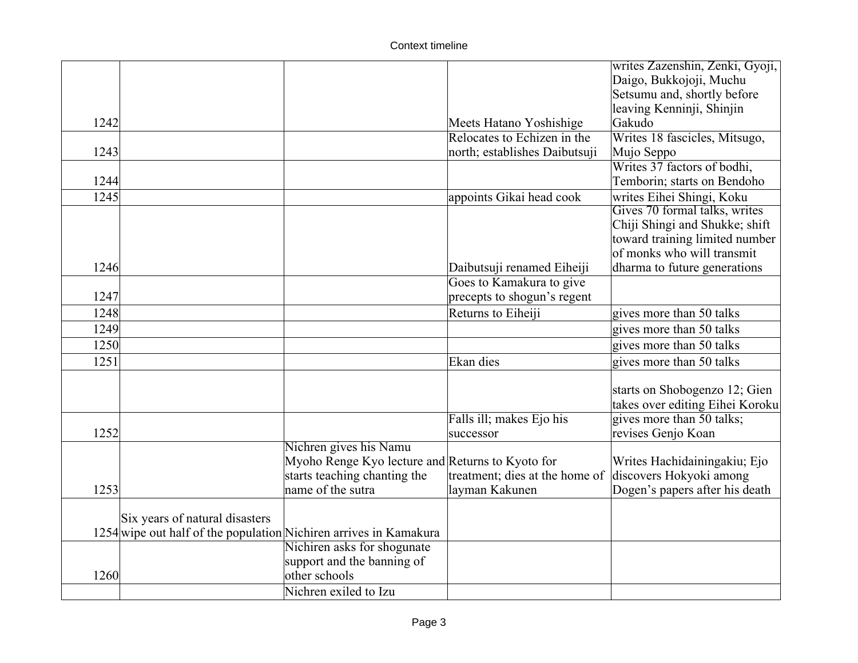## Context timeline

|      |                                                                   |                                                  |                                | writes Zazenshin, Zenki, Gyoji, |
|------|-------------------------------------------------------------------|--------------------------------------------------|--------------------------------|---------------------------------|
|      |                                                                   |                                                  |                                | Daigo, Bukkojoji, Muchu         |
|      |                                                                   |                                                  |                                | Setsumu and, shortly before     |
|      |                                                                   |                                                  |                                | leaving Kenninji, Shinjin       |
| 1242 |                                                                   |                                                  | Meets Hatano Yoshishige        | Gakudo                          |
|      |                                                                   |                                                  | Relocates to Echizen in the    | Writes 18 fascicles, Mitsugo,   |
| 1243 |                                                                   |                                                  | north; establishes Daibutsuji  | Mujo Seppo                      |
|      |                                                                   |                                                  |                                | Writes 37 factors of bodhi,     |
| 1244 |                                                                   |                                                  |                                | Temborin; starts on Bendoho     |
| 1245 |                                                                   |                                                  | appoints Gikai head cook       | writes Eihei Shingi, Koku       |
|      |                                                                   |                                                  |                                | Gives 70 formal talks, writes   |
|      |                                                                   |                                                  |                                | Chiji Shingi and Shukke; shift  |
|      |                                                                   |                                                  |                                | toward training limited number  |
|      |                                                                   |                                                  |                                | of monks who will transmit      |
| 1246 |                                                                   |                                                  | Daibutsuji renamed Eiheiji     | dharma to future generations    |
|      |                                                                   |                                                  | Goes to Kamakura to give       |                                 |
| 1247 |                                                                   |                                                  | precepts to shogun's regent    |                                 |
| 1248 |                                                                   |                                                  | Returns to Eiheiji             | gives more than 50 talks        |
| 1249 |                                                                   |                                                  |                                | gives more than 50 talks        |
| 1250 |                                                                   |                                                  |                                | gives more than 50 talks        |
| 1251 |                                                                   |                                                  | Ekan dies                      | gives more than 50 talks        |
|      |                                                                   |                                                  |                                |                                 |
|      |                                                                   |                                                  |                                | starts on Shobogenzo 12; Gien   |
|      |                                                                   |                                                  |                                | takes over editing Eihei Koroku |
|      |                                                                   |                                                  | Falls ill; makes Ejo his       | gives more than 50 talks;       |
| 1252 |                                                                   |                                                  | successor                      | revises Genjo Koan              |
|      |                                                                   | Nichren gives his Namu                           |                                |                                 |
|      |                                                                   | Myoho Renge Kyo lecture and Returns to Kyoto for |                                | Writes Hachidainingakiu; Ejo    |
|      |                                                                   | starts teaching chanting the                     | treatment; dies at the home of | discovers Hokyoki among         |
| 1253 |                                                                   | name of the sutra                                | layman Kakunen                 | Dogen's papers after his death  |
|      |                                                                   |                                                  |                                |                                 |
|      | Six years of natural disasters                                    |                                                  |                                |                                 |
|      | 1254 wipe out half of the population Nichiren arrives in Kamakura | Nichiren asks for shogunate                      |                                |                                 |
|      |                                                                   | support and the banning of                       |                                |                                 |
| 1260 |                                                                   | other schools                                    |                                |                                 |
|      |                                                                   | Nichren exiled to Izu                            |                                |                                 |
|      |                                                                   |                                                  |                                |                                 |